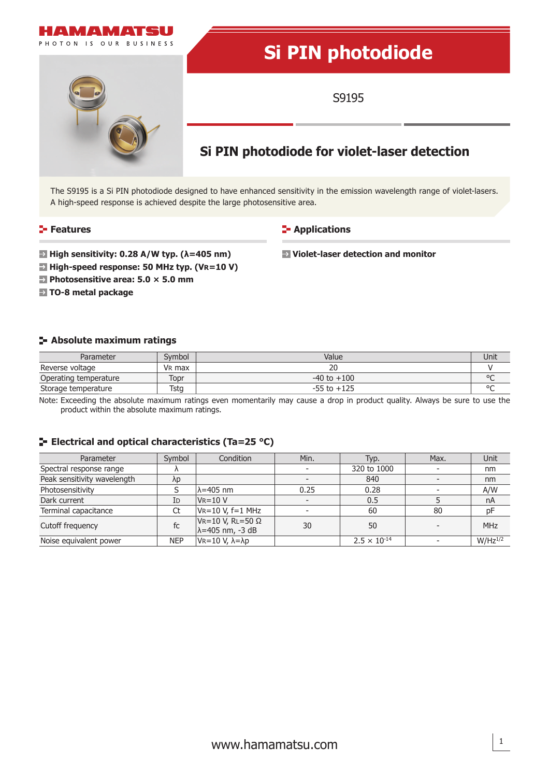

The S9195 is a Si PIN photodiode designed to have enhanced sensitivity in the emission wavelength range of violet-lasers. A high-speed response is achieved despite the large photosensitive area.

### **Features**

**E-** Applications

 **Violet-laser detection and monitor**

 **High sensitivity: 0.28 A/W typ. (λ=405 nm)**

- **E** High-speed response: 50 MHz typ. (VR=10 V)
- **Photosensitive area: 5.0 × 5.0 mm**
- **TO-8 metal package**

### **Absolute maximum ratings**

| Parameter             | Symbol             | Value           | Unit    |
|-----------------------|--------------------|-----------------|---------|
| Reverse voltage       | V <sub>R</sub> max | 20              |         |
| Operating temperature | Topr               | $-40$ to $+100$ | $\circ$ |
| Storage temperature   | Tstg               | $-55$ to $+125$ | $\circ$ |

Note: Exceeding the absolute maximum ratings even momentarily may cause a drop in product quality. Always be sure to use the product within the absolute maximum ratings.

# **ELECTRICAL AND OPTICAL CHARACTERISTICS (Ta=25 °C)**

| Parameter                   | Symbol     | Condition                                             | Min.                     | Typ.                  | Max. | Unit         |
|-----------------------------|------------|-------------------------------------------------------|--------------------------|-----------------------|------|--------------|
| Spectral response range     |            |                                                       | $\overline{\phantom{a}}$ | 320 to 1000           |      | nm           |
| Peak sensitivity wavelength | λp         |                                                       |                          | 840                   |      | nm           |
| Photosensitivity            |            | $\lambda$ =405 nm                                     | 0.25                     | 0.28                  |      | A/W          |
| Dark current                | ID         | $V = 10 V$                                            | $\overline{\phantom{a}}$ | 0.5                   |      | nA           |
| Terminal capacitance        | Ct         | $V = 10 V, f = 1 MHz$                                 |                          | 60                    | 80   | pF           |
| Cutoff frequency            | fc         | $V = 10 V, R = 50 \Omega$<br>$\lambda$ =405 nm, -3 dB | 30                       | 50                    |      | <b>MHz</b>   |
| Noise equivalent power      | <b>NEP</b> | $V = 10 V, \lambda = \lambda p$                       |                          | $2.5 \times 10^{-14}$ |      | $W/Hz^{1/2}$ |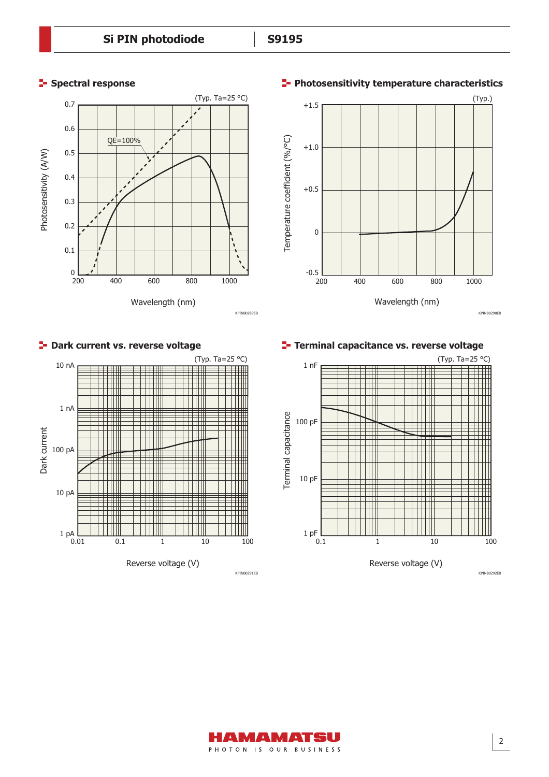

KPINB0289EB

#### **Spectral response**

## **Photosensitivity temperature characteristics**



# **P** Dark current vs. reverse voltage



**Terminal capacitance vs. reverse voltage**